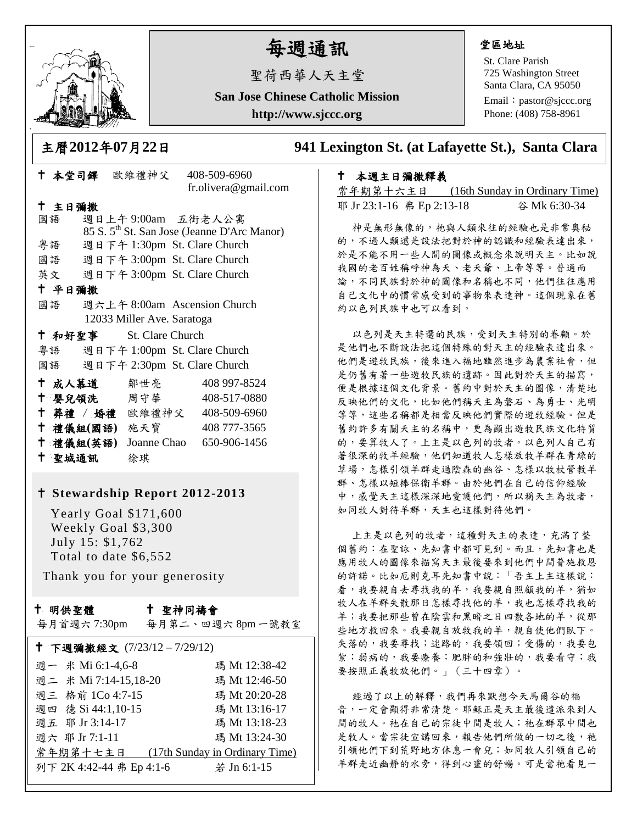

# 每週通訊

聖荷西華人天主堂

**San Jose Chinese Catholic Mission**

**http://www.sjccc.org**

## 堂區地址

St. Clare Parish 725 Washington Street Santa Clara, CA 95050

Email: [pastor@sjccc.org](mailto:pastor@sjccc.org) Phone: (408) 758-8961

 本堂司鐸 歐維禮神父 408-509-6960 fr.olivera@gmail.com

## 主日彌撒

國語 週日上午 9:00am 五街老人公寓 85 S. 5th St. San Jose (Jeanne D'Arc Manor) 粵語 週日下午 1:30pm St. Clare Church 國語 週日下午 3:00pm St. Clare Church 英文 週日下午 3:00pm St. Clare Church 平日彌撒 國語 週六上午 8:00am Ascension Church 12033 Miller Ave. Saratoga 和好聖事 St. Clare Church 粵語 週日下午 1:00pm St. Clare Church 國語 週日下午 2:30pm St. Clare Church 成人慕道 鄒世亮 408 997-8524 十 嬰兒領洗 周守華 408-517-0880 葬禮 / 婚禮 歐維禮神父 408-509-6960 禮儀組**(**國語**)** 施天寶 408 777-3565 禮儀組**(**英語**)** Joanne Chao 650-906-1456 聖城通訊 徐琪

## **Stewardship Report 2012-2013**

 Yearly Goal \$171,600 Weekly Goal \$3,300 July 15: \$1,762 Total to date \$6,552

Thank you for your generosity

## 十 明供聖體

## 聖神同禱會

每月首週六 7:30pm 每月第二、四週六 8pm 一號教室

| † 下週彌撒經文 (7/23/12-7/29/12) |                                |
|----------------------------|--------------------------------|
| 週一 米 Mi 6:1-4,6-8          | 瑪 Mt 12:38-42                  |
| 週二 米 Mi 7:14-15,18-20      | 瑪 Mt 12:46-50                  |
| 週三 格前 1Co 4:7-15           | 瑪 Mt 20:20-28                  |
| 週四 德 Si 44:1,10-15         | 瑪 Mt 13:16-17                  |
| 週五 耶 Jr 3:14-17            | 瑪 Mt 13:18-23                  |
| 週六 耶 Jr 7:1-11             | 瑪 Mt 13:24-30                  |
| 常年期第十七主日                   | (17th Sunday in Ordinary Time) |
| 列下 2K 4:42-44 弗 Ep 4:1-6   | 若 Jn 6:1-15                    |
|                            |                                |

## 主曆**2012**年**07**月**22**日 **941 Lexington St. (at Lafayette St.), Santa Clara**

## 本週主日彌撒釋義

常年期第十六主日 (16th Sunday in Ordinary Time) 耶 Jr 23:1-16 弗 Ep 2:13-18 谷 Mk 6:30-34

神是無形無像的,祂與人類來往的經驗也是非常奧秘 的,不過人類還是設法把對於神的認識和經驗表達出來, 於是不能不用一些人間的圖像或概念來說明天主。比如說 我國的老百姓稱呼神為天、老天爺、上帝等等。普通而 論,不同民族對於神的圖像和名稱也不同,他們往往應用 自己文化中的慣常感受到的事物來表達神。這個現象在舊 約以色列民族中也可以看到。

以色列是天主特選的民族,受到天主特別的眷顧。於 是他們也不斷設法把這個特殊的對天主的經驗表達出來。 他們是遊牧民族,後來進入福地雖然進步為農業社會,但 是仍舊有著一些遊牧民族的遺跡。因此對於天主的描寫, 便是根據這個文化背景。舊約中對於天主的圖像,清楚地 反映他們的文化,比如他們稱天主為磐石、為勇士、光明 等等,這些名稱都是相當反映他們實際的遊牧經驗。但是 舊約許多有關天主的名稱中,更為顯出遊牧民族文化特質 的,要算牧人了。上主是以色列的牧者。以色列人自己有 著很深的牧羊經驗,他們知道牧人怎樣放牧羊群在青綠的 草場,怎樣引領羊群走過陰森的幽谷、怎樣以牧杖管教羊 群、怎樣以短棒保衛羊群。由於他們在自己的信仰經驗 中,感覺天主這樣深深地愛護他們,所以稱天主為牧者, 如同牧人對待羊群,天主也這樣對待他們。

上主是以色列的牧者,這種對天主的表達,充滿了整 個舊約:在聖詠、先知書中都可見到。而且,先知書也是 應用牧人的圖像來描寫天主最後要來到他們中間普施救恩 的許諾。比如厄則克耳先知書中說:「吾主上主這樣說: 看,我要親自思顧我的羊,猶如 牧人在羊群失散那日怎樣尋找他的羊,我也怎樣尋找我的 羊;我要把那些曾在陰雲和黑暗之日四散各地的羊,從那 些地方救回來。我要親自放牧我的羊,親自使他們臥下。 失落的,我要尋找;迷路的,我要領回;受傷的,我要包 紮;弱病的,我要療養;肥胖的和強壯的,我要看守;我 要按照正義牧放他們。」(三十四章)。

經過了以上的解釋,我們再來默想今天馬爾谷的福 音,一定會顯得非常清楚。耶穌正是天主最後遣派來到人 間的牧人。祂在自己的宗徒中間是牧人;祂在群眾中間也 是牧人。當宗徒宣講回來,報告他們所做的一切之後,祂 引領他們下到荒野地方休息一會兒;如同牧人引領自己的 羊群走近幽靜的水旁,得到心靈的舒暢。可是當祂看見一